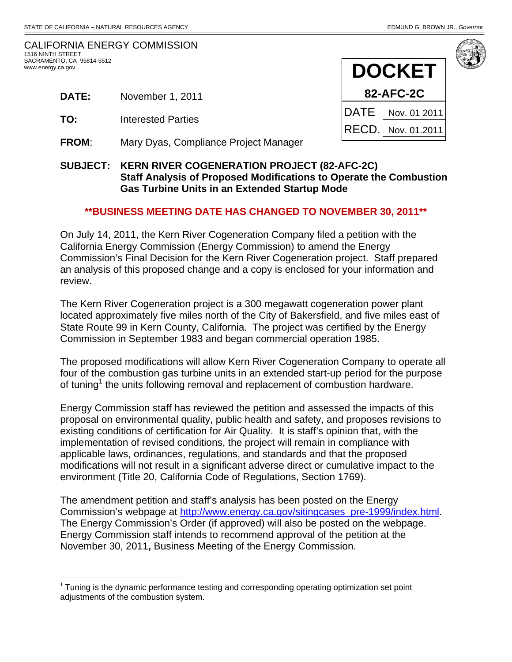| CALIFORNIA ENERGY COMMISSION |
|------------------------------|
| 1516 NINTH STREET            |
| SACRAMENTO. CA 95814-5512    |
| www.energy.ca.gov            |

 $\overline{a}$ 

DATE Nov. 01 2011 RECD. Nov. 01.2011 **DOCKET 82-AFC-2C**

- **DATE:** November 1, 2011
- **TO:** Interested Parties
- **FROM**: Mary Dyas, Compliance Project Manager
- **SUBJECT: KERN RIVER COGENERATION PROJECT (82-AFC-2C) Staff Analysis of Proposed Modifications to Operate the Combustion Gas Turbine Units in an Extended Startup Mode**

## **\*\*BUSINESS MEETING DATE HAS CHANGED TO NOVEMBER 30, 2011\*\***

On July 14, 2011, the Kern River Cogeneration Company filed a petition with the California Energy Commission (Energy Commission) to amend the Energy Commission's Final Decision for the Kern River Cogeneration project. Staff prepared an analysis of this proposed change and a copy is enclosed for your information and review.

The Kern River Cogeneration project is a 300 megawatt cogeneration power plant located approximately five miles north of the City of Bakersfield, and five miles east of State Route 99 in Kern County, California. The project was certified by the Energy Commission in September 1983 and began commercial operation 1985.

The proposed modifications will allow Kern River Cogeneration Company to operate all four of the combustion gas turbine units in an extended start-up period for the purpose of tuning<sup>1</sup> the units following removal and replacement of combustion hardware.

Energy Commission staff has reviewed the petition and assessed the impacts of this proposal on environmental quality, public health and safety, and proposes revisions to existing conditions of certification for Air Quality. It is staff's opinion that, with the implementation of revised conditions, the project will remain in compliance with applicable laws, ordinances, regulations, and standards and that the proposed modifications will not result in a significant adverse direct or cumulative impact to the environment (Title 20, California Code of Regulations, Section 1769).

The amendment petition and staff's analysis has been posted on the Energy Commission's webpage at http://www.energy.ca.gov/sitingcases\_pre-1999/index.html. The Energy Commission's Order (if approved) will also be posted on the webpage. Energy Commission staff intends to recommend approval of the petition at the November 30, 2011**,** Business Meeting of the Energy Commission.

 $1$  Tuning is the dynamic performance testing and corresponding operating optimization set point adjustments of the combustion system.